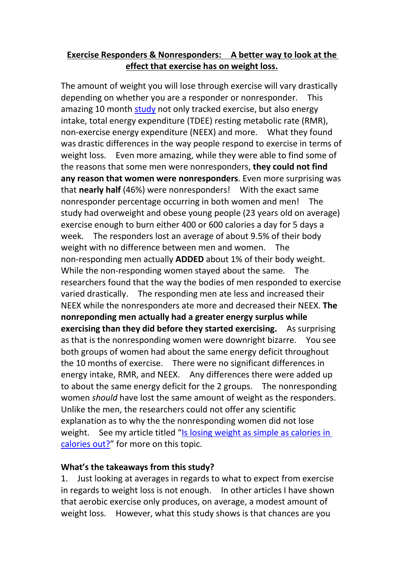## **Exercise Responders & Nonresponders: A better way to look at the effect that exercise has on weight loss.**

The amount of weight you will lose through exercise will vary drastically depending on whether you are a responder or nonresponder. This amazing 10 month [study](https://onlinelibrary.wiley.com/doi/epdf/10.1002/oby.21073) not only tracked exercise, but also energy intake, total energy expenditure (TDEE) resting metabolic rate (RMR), non-exercise energy expenditure (NEEX) and more. What they found was drastic differences in the way people respond to exercise in terms of weight loss. Even more amazing, while they were able to find some of the reasons that some men were nonresponders, **they could not find any reason that women were nonresponders**. Even more surprising was that **nearly half** (46%) were nonresponders! With the exact same nonresponder percentage occurring in both women and men! The study had overweight and obese young people (23 years old on average) exercise enough to burn either 400 or 600 calories a day for 5 days a week. The responders lost an average of about 9.5% of their body weight with no difference between men and women. The non-responding men actually **ADDED** about 1% of their body weight. While the non-responding women stayed about the same. The researchers found that the way the bodies of men responded to exercise varied drastically. The responding men ate less and increased their NEEX while the nonresponders ate more and decreased their NEEX. **The nonreponding men actually had a greater energy surplus while exercising than they did before they started exercising.** As surprising as that is the nonresponding women were downright bizarre. You see both groups of women had about the same energy deficit throughout the 10 months of exercise. There were no significant differences in energy intake, RMR, and NEEX. Any differences there were added up to about the same energy deficit for the 2 groups. The nonresponding women *should* have lost the same amount of weight as the responders. Unlike the men, the researchers could not offer any scientific explanation as to why the the nonresponding women did not lose weight. See my article titled "Is losing weight as simple as [calories](http://scitechfitness.com/index_htm_files/IS%20LOSING%20WEIGHT%20AS%20SIMPLE%20AS%20CALORIES%20IN%20CALORIES.pdf) in calories out?" for more on this topic.

## **What's the takeaways from this study?**

1. Just looking at averages in regards to what to expect from exercise in regards to weight loss is not enough. In other articles I have shown that aerobic exercise only produces, on average, a modest amount of weight loss. However, what this study shows is that chances are you